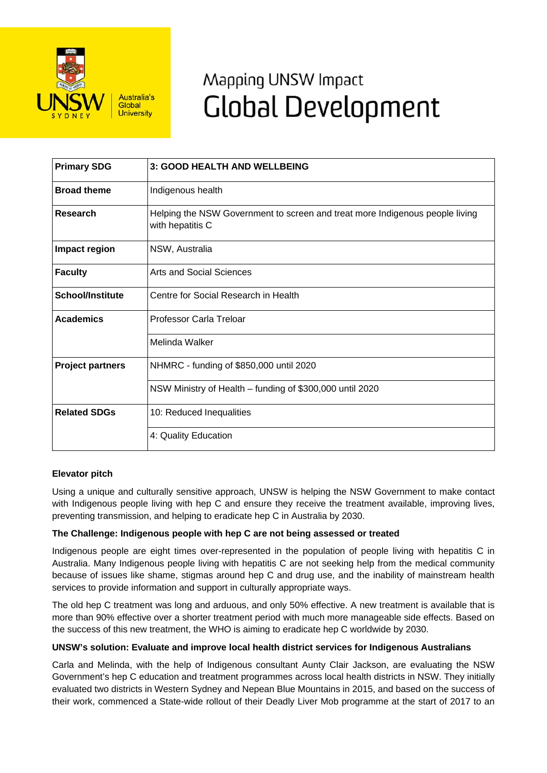

# Mapping UNSW Impact **Global Development**

| <b>Primary SDG</b>      | 3: GOOD HEALTH AND WELLBEING                                                                     |
|-------------------------|--------------------------------------------------------------------------------------------------|
| <b>Broad theme</b>      | Indigenous health                                                                                |
| <b>Research</b>         | Helping the NSW Government to screen and treat more Indigenous people living<br>with hepatitis C |
| Impact region           | NSW, Australia                                                                                   |
| <b>Faculty</b>          | Arts and Social Sciences                                                                         |
| <b>School/Institute</b> | Centre for Social Research in Health                                                             |
| <b>Academics</b>        | Professor Carla Treloar                                                                          |
|                         | Melinda Walker                                                                                   |
| <b>Project partners</b> | NHMRC - funding of \$850,000 until 2020                                                          |
|                         | NSW Ministry of Health - funding of \$300,000 until 2020                                         |
| <b>Related SDGs</b>     | 10: Reduced Inequalities                                                                         |
|                         | 4: Quality Education                                                                             |

## **Elevator pitch**

Using a unique and culturally sensitive approach, UNSW is helping the NSW Government to make contact with Indigenous people living with hep C and ensure they receive the treatment available, improving lives, preventing transmission, and helping to eradicate hep C in Australia by 2030.

## **The Challenge: Indigenous people with hep C are not being assessed or treated**

Indigenous people are eight times over-represented in the population of people living with hepatitis C in Australia. Many Indigenous people living with hepatitis C are not seeking help from the medical community because of issues like shame, stigmas around hep C and drug use, and the inability of mainstream health services to provide information and support in culturally appropriate ways.

The old hep C treatment was long and arduous, and only 50% effective. A new treatment is available that is more than 90% effective over a shorter treatment period with much more manageable side effects. Based on the success of this new treatment, the WHO is aiming to eradicate hep C worldwide by 2030.

#### **UNSW's solution: Evaluate and improve local health district services for Indigenous Australians**

Carla and Melinda, with the help of Indigenous consultant Aunty Clair Jackson, are evaluating the NSW Government's hep C education and treatment programmes across local health districts in NSW. They initially evaluated two districts in Western Sydney and Nepean Blue Mountains in 2015, and based on the success of their work, commenced a State-wide rollout of their Deadly Liver Mob programme at the start of 2017 to an